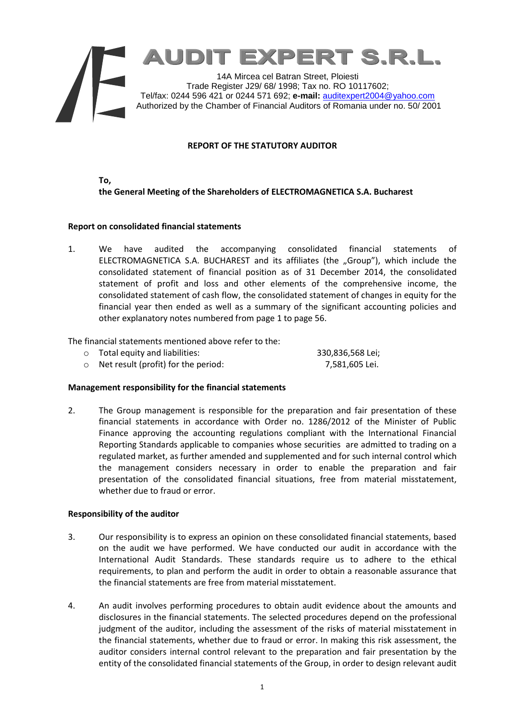

# **REPORT OF THE STATUTORY AUDITOR**

**To, the General Meeting of the Shareholders of ELECTROMAGNETICA S.A. Bucharest**

### **Report on consolidated financial statements**

1. We have audited the accompanying consolidated financial statements of ELECTROMAGNETICA S.A. BUCHAREST and its affiliates (the "Group"), which include the consolidated statement of financial position as of 31 December 2014, the consolidated statement of profit and loss and other elements of the comprehensive income, the consolidated statement of cash flow, the consolidated statement of changes in equity for the financial year then ended as well as a summary of the significant accounting policies and other explanatory notes numbered from page 1 to page 56.

The financial statements mentioned above refer to the:

o Total equity and liabilities: 330,836,568 Lei; o Net result (profit) for the period: 7,581,605 Lei.

### **Management responsibility for the financial statements**

2. The Group management is responsible for the preparation and fair presentation of these financial statements in accordance with Order no. 1286/2012 of the Minister of Public Finance approving the accounting regulations compliant with the International Financial Reporting Standards applicable to companies whose securities are admitted to trading on a regulated market, as further amended and supplemented and for such internal control which the management considers necessary in order to enable the preparation and fair presentation of the consolidated financial situations, free from material misstatement, whether due to fraud or error.

### **Responsibility of the auditor**

- 3. Our responsibility is to express an opinion on these consolidated financial statements, based on the audit we have performed. We have conducted our audit in accordance with the International Audit Standards. These standards require us to adhere to the ethical requirements, to plan and perform the audit in order to obtain a reasonable assurance that the financial statements are free from material misstatement.
- 4. An audit involves performing procedures to obtain audit evidence about the amounts and disclosures in the financial statements. The selected procedures depend on the professional judgment of the auditor, including the assessment of the risks of material misstatement in the financial statements, whether due to fraud or error. In making this risk assessment, the auditor considers internal control relevant to the preparation and fair presentation by the entity of the consolidated financial statements of the Group, in order to design relevant audit